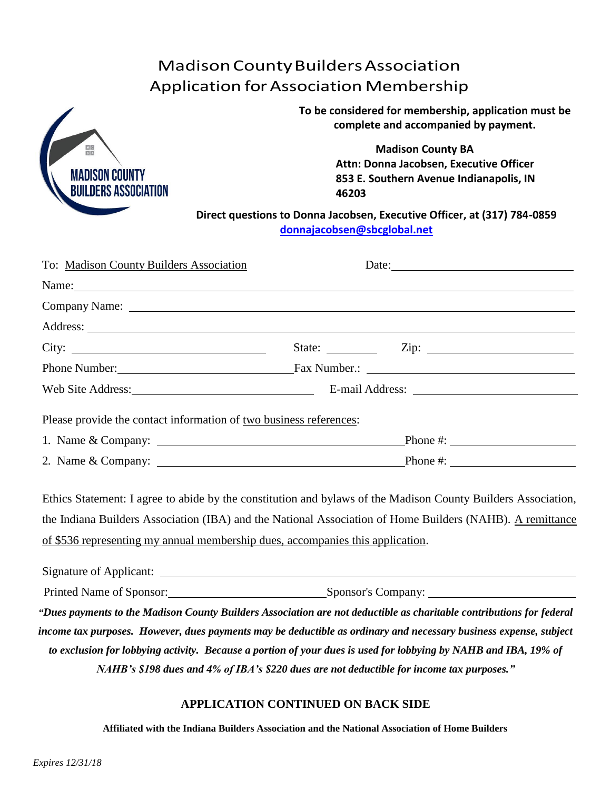# MadisonCountyBuildersAssociation Application forAssociation Membership



**To be considered for membership, application must be complete and accompanied by payment.**

> **Madison County BA Attn: Donna Jacobsen, Executive Officer 853 E. Southern Avenue Indianapolis, IN 46203**

**Direct questions to Donna Jacobsen, Executive Officer, at (317) 784-0859 [donnajacobsen@sbcglobal.net](mailto:donnajacobsen@sbcglobal.net)**

|                                                                                                                                                                                                                                     | Date: $\frac{1}{2}$ Date:                                                                                                                                                                                                                                                                                    |
|-------------------------------------------------------------------------------------------------------------------------------------------------------------------------------------------------------------------------------------|--------------------------------------------------------------------------------------------------------------------------------------------------------------------------------------------------------------------------------------------------------------------------------------------------------------|
|                                                                                                                                                                                                                                     | Name: Name and the set of the set of the set of the set of the set of the set of the set of the set of the set of the set of the set of the set of the set of the set of the set of the set of the set of the set of the set o                                                                               |
|                                                                                                                                                                                                                                     |                                                                                                                                                                                                                                                                                                              |
|                                                                                                                                                                                                                                     |                                                                                                                                                                                                                                                                                                              |
|                                                                                                                                                                                                                                     | State: $\qquad \qquad \text{Zip: } \qquad \qquad$                                                                                                                                                                                                                                                            |
| Phone Number: <u>Number:</u> Eax Number: 2008 Number: 2008 Number: 2008 Number: 2008 Number: 2008 Number: 2008 Number: 2008 Number: 2008 Number: 2008 Number: 2008 Number: 2008 Number: 2008 Number: 2008 Number: 2008 Number: 2008 |                                                                                                                                                                                                                                                                                                              |
| Web Site Address: 2008                                                                                                                                                                                                              |                                                                                                                                                                                                                                                                                                              |
| Please provide the contact information of two business references:                                                                                                                                                                  |                                                                                                                                                                                                                                                                                                              |
|                                                                                                                                                                                                                                     |                                                                                                                                                                                                                                                                                                              |
|                                                                                                                                                                                                                                     | Ethics Statement: I agree to abide by the constitution and bylaws of the Madison County Builders Association,<br>the Indiana Builders Association (IBA) and the National Association of Home Builders (NAHB). A remittance<br>of \$536 representing my annual membership dues, accompanies this application. |
|                                                                                                                                                                                                                                     |                                                                                                                                                                                                                                                                                                              |

Signature of Applicant: Printed Name of Sponsor: Sponsor: Sponsor's Company: *"Dues payments to the Madison County Builders Association are not deductible as charitable contributions for federal income tax purposes. However, dues payments may be deductible as ordinary and necessary business expense, subject to exclusion for lobbying activity. Because a portion of your dues is used for lobbying by NAHB and IBA, 19% of NAHB's \$198 dues and 4% of IBA's \$220 dues are not deductible for income tax purposes."*

## **APPLICATION CONTINUED ON BACK SIDE**

**Affiliated with the Indiana Builders Association and the National Association of Home Builders**